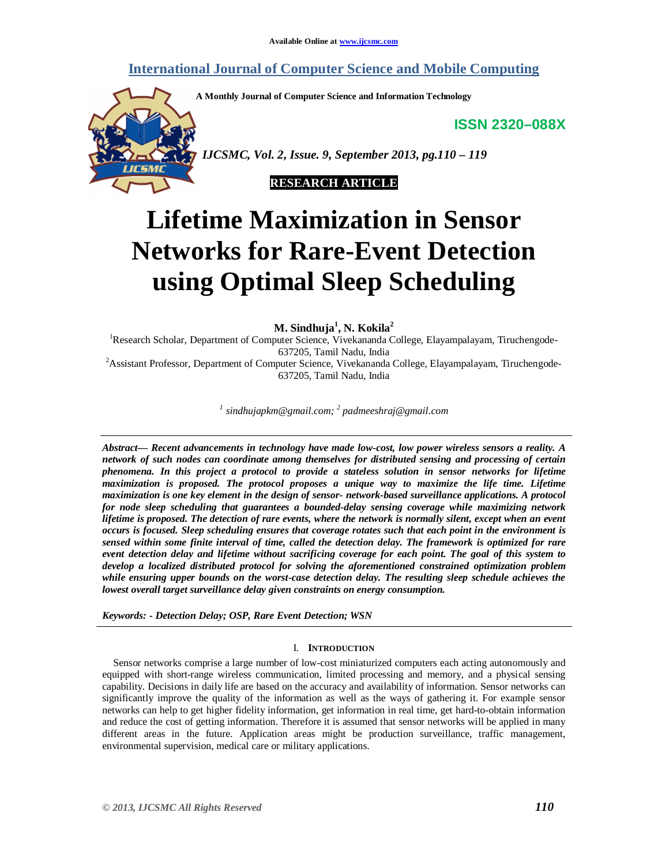# **International Journal of Computer Science and Mobile Computing**

**A Monthly Journal of Computer Science and Information Technology**

**ISSN 2320–088X**



 *IJCSMC, Vol. 2, Issue. 9, September 2013, pg.110 – 119*



# **Lifetime Maximization in Sensor Networks for Rare-Event Detection using Optimal Sleep Scheduling**

**M. Sindhuja<sup>1</sup> , N. Kokila<sup>2</sup>**

<sup>1</sup>Research Scholar, Department of Computer Science, Vivekananda College, Elayampalayam, Tiruchengode-637205, Tamil Nadu, India <sup>2</sup>Assistant Professor, Department of Computer Science, Vivekananda College, Elayampalayam, Tiruchengode-637205, Tamil Nadu, India

*1 sindhujapkm@gmail.com; 2 padmeeshraj@gmail.com*

*Abstract— Recent advancements in technology have made low-cost, low power wireless sensors a reality. A network of such nodes can coordinate among themselves for distributed sensing and processing of certain phenomena. In this project a protocol to provide a stateless solution in sensor networks for lifetime maximization is proposed. The protocol proposes a unique way to maximize the life time. Lifetime maximization is one key element in the design of sensor- network-based surveillance applications. A protocol for node sleep scheduling that guarantees a bounded-delay sensing coverage while maximizing network lifetime is proposed. The detection of rare events, where the network is normally silent, except when an event occurs is focused. Sleep scheduling ensures that coverage rotates such that each point in the environment is sensed within some finite interval of time, called the detection delay. The framework is optimized for rare event detection delay and lifetime without sacrificing coverage for each point. The goal of this system to develop a localized distributed protocol for solving the aforementioned constrained optimization problem while ensuring upper bounds on the worst-case detection delay. The resulting sleep schedule achieves the lowest overall target surveillance delay given constraints on energy consumption.*

*Keywords: - Detection Delay; OSP, Rare Event Detection; WSN*

# I. **INTRODUCTION**

Sensor networks comprise a large number of low-cost miniaturized computers each acting autonomously and equipped with short-range wireless communication, limited processing and memory, and a physical sensing capability. Decisions in daily life are based on the accuracy and availability of information. Sensor networks can significantly improve the quality of the information as well as the ways of gathering it. For example sensor networks can help to get higher fidelity information, get information in real time, get hard-to-obtain information and reduce the cost of getting information. Therefore it is assumed that sensor networks will be applied in many different areas in the future. Application areas might be production surveillance, traffic management, environmental supervision, medical care or military applications.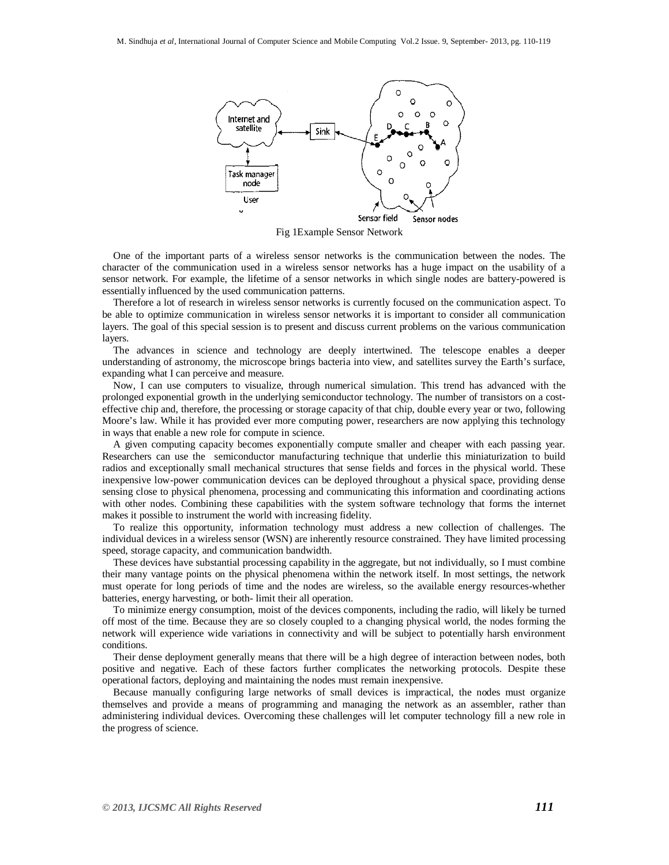

Fig 1Example Sensor Network

One of the important parts of a wireless sensor networks is the communication between the nodes. The character of the communication used in a wireless sensor networks has a huge impact on the usability of a sensor network. For example, the lifetime of a sensor networks in which single nodes are battery-powered is essentially influenced by the used communication patterns.

Therefore a lot of research in wireless sensor networks is currently focused on the communication aspect. To be able to optimize communication in wireless sensor networks it is important to consider all communication layers. The goal of this special session is to present and discuss current problems on the various communication layers.

The advances in science and technology are deeply intertwined. The telescope enables a deeper understanding of astronomy, the microscope brings bacteria into view, and satellites survey the Earth's surface, expanding what I can perceive and measure.

Now, I can use computers to visualize, through numerical simulation. This trend has advanced with the prolonged exponential growth in the underlying semiconductor technology. The number of transistors on a costeffective chip and, therefore, the processing or storage capacity of that chip, double every year or two, following Moore's law. While it has provided ever more computing power, researchers are now applying this technology in ways that enable a new role for compute in science.

A given computing capacity becomes exponentially compute smaller and cheaper with each passing year. Researchers can use the semiconductor manufacturing technique that underlie this miniaturization to build radios and exceptionally small mechanical structures that sense fields and forces in the physical world. These inexpensive low-power communication devices can be deployed throughout a physical space, providing dense sensing close to physical phenomena, processing and communicating this information and coordinating actions with other nodes. Combining these capabilities with the system software technology that forms the internet makes it possible to instrument the world with increasing fidelity.

To realize this opportunity, information technology must address a new collection of challenges. The individual devices in a wireless sensor (WSN) are inherently resource constrained. They have limited processing speed, storage capacity, and communication bandwidth.

These devices have substantial processing capability in the aggregate, but not individually, so I must combine their many vantage points on the physical phenomena within the network itself. In most settings, the network must operate for long periods of time and the nodes are wireless, so the available energy resources-whether batteries, energy harvesting, or both- limit their all operation.

To minimize energy consumption, moist of the devices components, including the radio, will likely be turned off most of the time. Because they are so closely coupled to a changing physical world, the nodes forming the network will experience wide variations in connectivity and will be subject to potentially harsh environment conditions.

Their dense deployment generally means that there will be a high degree of interaction between nodes, both positive and negative. Each of these factors further complicates the networking protocols. Despite these operational factors, deploying and maintaining the nodes must remain inexpensive.

Because manually configuring large networks of small devices is impractical, the nodes must organize themselves and provide a means of programming and managing the network as an assembler, rather than administering individual devices. Overcoming these challenges will let computer technology fill a new role in the progress of science.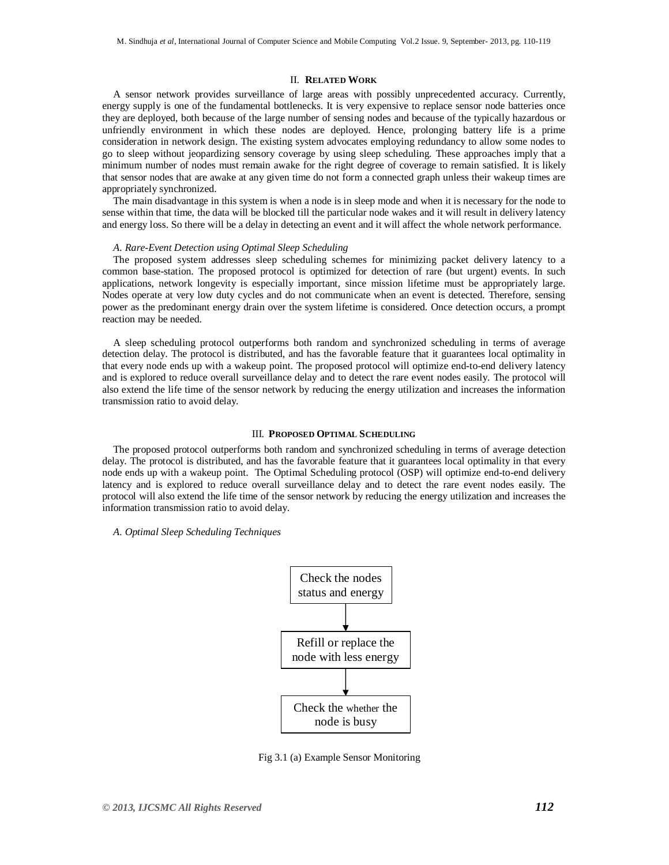# II. **RELATED WORK**

A sensor network provides surveillance of large areas with possibly unprecedented accuracy. Currently, energy supply is one of the fundamental bottlenecks. It is very expensive to replace sensor node batteries once they are deployed, both because of the large number of sensing nodes and because of the typically hazardous or unfriendly environment in which these nodes are deployed. Hence, prolonging battery life is a prime consideration in network design. The existing system advocates employing redundancy to allow some nodes to go to sleep without jeopardizing sensory coverage by using sleep scheduling. These approaches imply that a minimum number of nodes must remain awake for the right degree of coverage to remain satisfied. It is likely that sensor nodes that are awake at any given time do not form a connected graph unless their wakeup times are appropriately synchronized.

The main disadvantage in this system is when a node is in sleep mode and when it is necessary for the node to sense within that time, the data will be blocked till the particular node wakes and it will result in delivery latency and energy loss. So there will be a delay in detecting an event and it will affect the whole network performance.

#### *A. Rare-Event Detection using Optimal Sleep Scheduling*

The proposed system addresses sleep scheduling schemes for minimizing packet delivery latency to a common base-station. The proposed protocol is optimized for detection of rare (but urgent) events. In such applications, network longevity is especially important, since mission lifetime must be appropriately large. Nodes operate at very low duty cycles and do not communicate when an event is detected. Therefore, sensing power as the predominant energy drain over the system lifetime is considered. Once detection occurs, a prompt reaction may be needed.

A sleep scheduling protocol outperforms both random and synchronized scheduling in terms of average detection delay. The protocol is distributed, and has the favorable feature that it guarantees local optimality in that every node ends up with a wakeup point. The proposed protocol will optimize end-to-end delivery latency and is explored to reduce overall surveillance delay and to detect the rare event nodes easily. The protocol will also extend the life time of the sensor network by reducing the energy utilization and increases the information transmission ratio to avoid delay.

#### III. **PROPOSED OPTIMAL SCHEDULING**

The proposed protocol outperforms both random and synchronized scheduling in terms of average detection delay. The protocol is distributed, and has the favorable feature that it guarantees local optimality in that every node ends up with a wakeup point. The Optimal Scheduling protocol (OSP) will optimize end-to-end delivery latency and is explored to reduce overall surveillance delay and to detect the rare event nodes easily. The protocol will also extend the life time of the sensor network by reducing the energy utilization and increases the information transmission ratio to avoid delay.

*A. Optimal Sleep Scheduling Techniques*



Fig 3.1 (a) Example Sensor Monitoring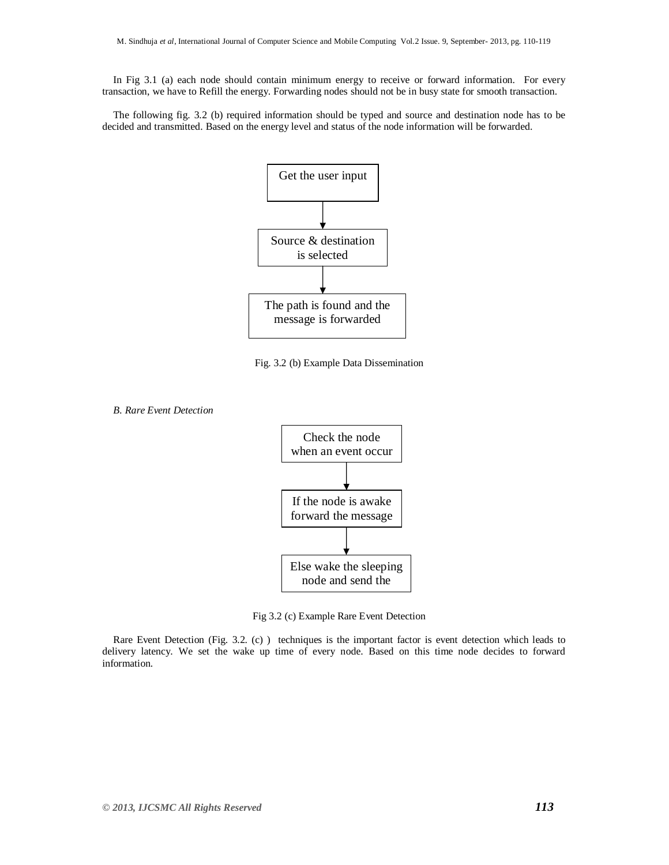In Fig 3.1 (a) each node should contain minimum energy to receive or forward information. For every transaction, we have to Refill the energy. Forwarding nodes should not be in busy state for smooth transaction.

The following fig. 3.2 (b) required information should be typed and source and destination node has to be decided and transmitted. Based on the energy level and status of the node information will be forwarded.



Fig. 3.2 (b) Example Data Dissemination

*B. Rare Event Detection*



Fig 3.2 (c) Example Rare Event Detection

Rare Event Detection (Fig. 3.2. (c) ) techniques is the important factor is event detection which leads to delivery latency. We set the wake up time of every node. Based on this time node decides to forward information.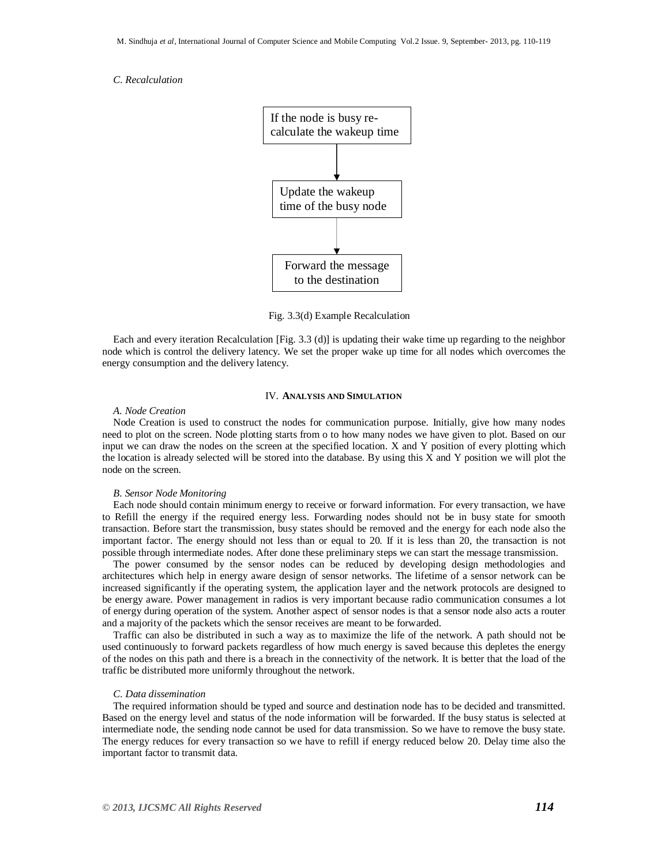# *C. Recalculation*



Fig. 3.3(d) Example Recalculation

Each and every iteration Recalculation [Fig. 3.3 (d)] is updating their wake time up regarding to the neighbor node which is control the delivery latency. We set the proper wake up time for all nodes which overcomes the energy consumption and the delivery latency.

## IV. **ANALYSIS AND SIMULATION**

#### *A. Node Creation*

Node Creation is used to construct the nodes for communication purpose. Initially, give how many nodes need to plot on the screen. Node plotting starts from o to how many nodes we have given to plot. Based on our input we can draw the nodes on the screen at the specified location. X and Y position of every plotting which the location is already selected will be stored into the database. By using this  $X$  and  $Y$  position we will plot the node on the screen.

#### *B. Sensor Node Monitoring*

Each node should contain minimum energy to receive or forward information. For every transaction, we have to Refill the energy if the required energy less. Forwarding nodes should not be in busy state for smooth transaction. Before start the transmission, busy states should be removed and the energy for each node also the important factor. The energy should not less than or equal to 20. If it is less than 20, the transaction is not possible through intermediate nodes. After done these preliminary steps we can start the message transmission.

The power consumed by the sensor nodes can be reduced by developing design methodologies and architectures which help in energy aware design of sensor networks. The lifetime of a sensor network can be increased significantly if the operating system, the application layer and the network protocols are designed to be energy aware. Power management in radios is very important because radio communication consumes a lot of energy during operation of the system. Another aspect of sensor nodes is that a sensor node also acts a router and a majority of the packets which the sensor receives are meant to be forwarded.

Traffic can also be distributed in such a way as to maximize the life of the network. A path should not be used continuously to forward packets regardless of how much energy is saved because this depletes the energy of the nodes on this path and there is a breach in the connectivity of the network. It is better that the load of the traffic be distributed more uniformly throughout the network.

#### *C. Data dissemination*

The required information should be typed and source and destination node has to be decided and transmitted. Based on the energy level and status of the node information will be forwarded. If the busy status is selected at intermediate node, the sending node cannot be used for data transmission. So we have to remove the busy state. The energy reduces for every transaction so we have to refill if energy reduced below 20. Delay time also the important factor to transmit data.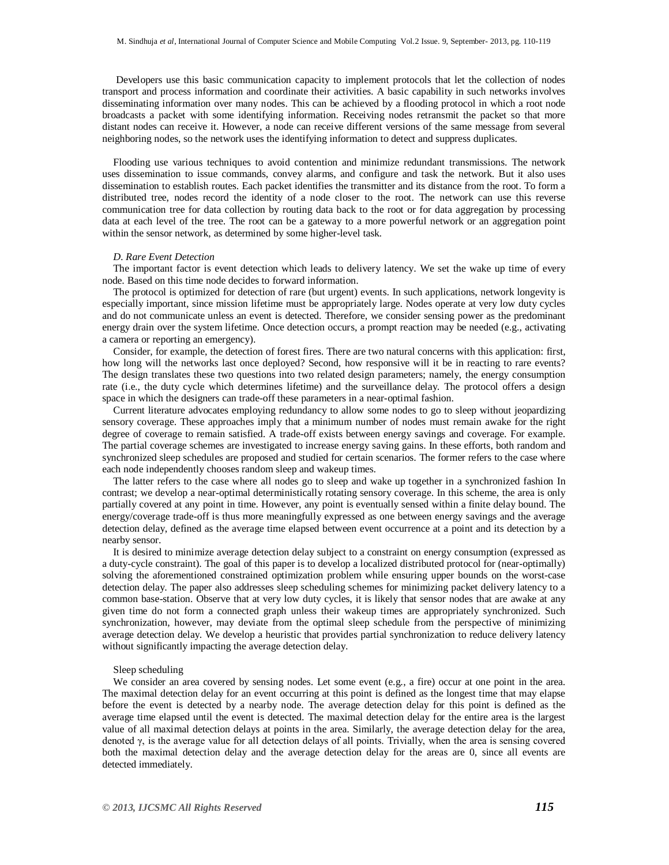Developers use this basic communication capacity to implement protocols that let the collection of nodes transport and process information and coordinate their activities. A basic capability in such networks involves disseminating information over many nodes. This can be achieved by a flooding protocol in which a root node broadcasts a packet with some identifying information. Receiving nodes retransmit the packet so that more distant nodes can receive it. However, a node can receive different versions of the same message from several neighboring nodes, so the network uses the identifying information to detect and suppress duplicates.

Flooding use various techniques to avoid contention and minimize redundant transmissions. The network uses dissemination to issue commands, convey alarms, and configure and task the network. But it also uses dissemination to establish routes. Each packet identifies the transmitter and its distance from the root. To form a distributed tree, nodes record the identity of a node closer to the root. The network can use this reverse communication tree for data collection by routing data back to the root or for data aggregation by processing data at each level of the tree. The root can be a gateway to a more powerful network or an aggregation point within the sensor network, as determined by some higher-level task.

#### *D. Rare Event Detection*

The important factor is event detection which leads to delivery latency. We set the wake up time of every node. Based on this time node decides to forward information.

The protocol is optimized for detection of rare (but urgent) events. In such applications, network longevity is especially important, since mission lifetime must be appropriately large. Nodes operate at very low duty cycles and do not communicate unless an event is detected. Therefore, we consider sensing power as the predominant energy drain over the system lifetime. Once detection occurs, a prompt reaction may be needed (e.g., activating a camera or reporting an emergency).

Consider, for example, the detection of forest fires. There are two natural concerns with this application: first, how long will the networks last once deployed? Second, how responsive will it be in reacting to rare events? The design translates these two questions into two related design parameters; namely, the energy consumption rate (i.e., the duty cycle which determines lifetime) and the surveillance delay. The protocol offers a design space in which the designers can trade-off these parameters in a near-optimal fashion.

Current literature advocates employing redundancy to allow some nodes to go to sleep without jeopardizing sensory coverage. These approaches imply that a minimum number of nodes must remain awake for the right degree of coverage to remain satisfied. A trade-off exists between energy savings and coverage. For example. The partial coverage schemes are investigated to increase energy saving gains. In these efforts, both random and synchronized sleep schedules are proposed and studied for certain scenarios. The former refers to the case where each node independently chooses random sleep and wakeup times.

The latter refers to the case where all nodes go to sleep and wake up together in a synchronized fashion In contrast; we develop a near-optimal deterministically rotating sensory coverage. In this scheme, the area is only partially covered at any point in time. However, any point is eventually sensed within a finite delay bound. The energy/coverage trade-off is thus more meaningfully expressed as one between energy savings and the average detection delay, defined as the average time elapsed between event occurrence at a point and its detection by a nearby sensor.

It is desired to minimize average detection delay subject to a constraint on energy consumption (expressed as a duty-cycle constraint). The goal of this paper is to develop a localized distributed protocol for (near-optimally) solving the aforementioned constrained optimization problem while ensuring upper bounds on the worst-case detection delay. The paper also addresses sleep scheduling schemes for minimizing packet delivery latency to a common base-station. Observe that at very low duty cycles, it is likely that sensor nodes that are awake at any given time do not form a connected graph unless their wakeup times are appropriately synchronized. Such synchronization, however, may deviate from the optimal sleep schedule from the perspective of minimizing average detection delay. We develop a heuristic that provides partial synchronization to reduce delivery latency without significantly impacting the average detection delay.

#### Sleep scheduling

We consider an area covered by sensing nodes. Let some event (e.g., a fire) occur at one point in the area. The maximal detection delay for an event occurring at this point is defined as the longest time that may elapse before the event is detected by a nearby node. The average detection delay for this point is defined as the average time elapsed until the event is detected. The maximal detection delay for the entire area is the largest value of all maximal detection delays at points in the area. Similarly, the average detection delay for the area, denoted γ, is the average value for all detection delays of all points. Trivially, when the area is sensing covered both the maximal detection delay and the average detection delay for the areas are 0, since all events are detected immediately.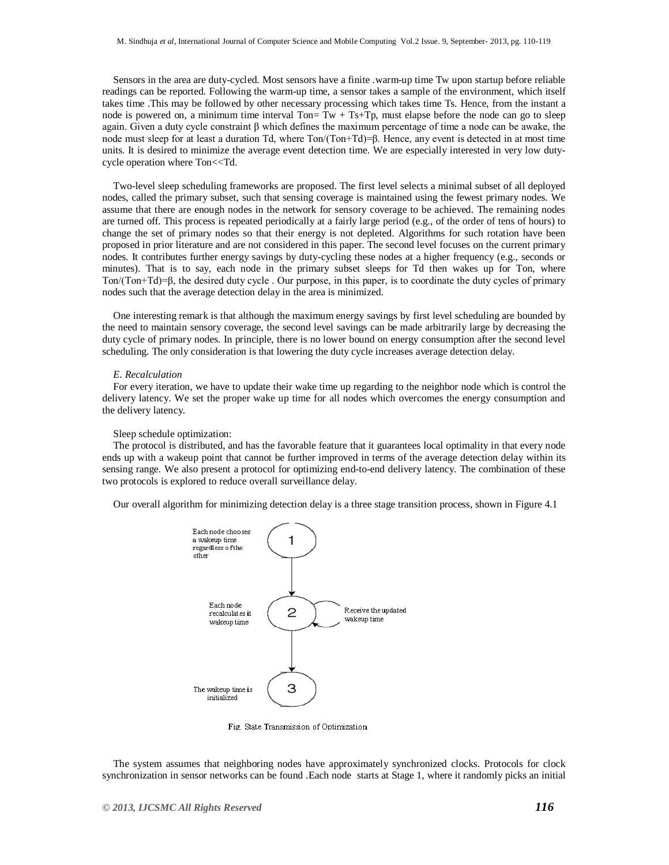Sensors in the area are duty-cycled. Most sensors have a finite .warm-up time Tw upon startup before reliable readings can be reported. Following the warm-up time, a sensor takes a sample of the environment, which itself takes time .This may be followed by other necessary processing which takes time Ts. Hence, from the instant a node is powered on, a minimum time interval Ton=  $Tw + Ts+Tp$ , must elapse before the node can go to sleep again. Given a duty cycle constraint β which defines the maximum percentage of time a node can be awake, the node must sleep for at least a duration Td, where Ton/(Ton+Td)=β. Hence, any event is detected in at most time units. It is desired to minimize the average event detection time. We are especially interested in very low dutycycle operation where Ton<<Td.

Two-level sleep scheduling frameworks are proposed. The first level selects a minimal subset of all deployed nodes, called the primary subset, such that sensing coverage is maintained using the fewest primary nodes. We assume that there are enough nodes in the network for sensory coverage to be achieved. The remaining nodes are turned off. This process is repeated periodically at a fairly large period (e.g., of the order of tens of hours) to change the set of primary nodes so that their energy is not depleted. Algorithms for such rotation have been proposed in prior literature and are not considered in this paper. The second level focuses on the current primary nodes. It contributes further energy savings by duty-cycling these nodes at a higher frequency (e.g., seconds or minutes). That is to say, each node in the primary subset sleeps for Td then wakes up for Ton, where Ton/(Ton+Td)=β, the desired duty cycle . Our purpose, in this paper, is to coordinate the duty cycles of primary nodes such that the average detection delay in the area is minimized.

One interesting remark is that although the maximum energy savings by first level scheduling are bounded by the need to maintain sensory coverage, the second level savings can be made arbitrarily large by decreasing the duty cycle of primary nodes. In principle, there is no lower bound on energy consumption after the second level scheduling. The only consideration is that lowering the duty cycle increases average detection delay.

#### *E. Recalculation*

For every iteration, we have to update their wake time up regarding to the neighbor node which is control the delivery latency. We set the proper wake up time for all nodes which overcomes the energy consumption and the delivery latency.

# Sleep schedule optimization:

The protocol is distributed, and has the favorable feature that it guarantees local optimality in that every node ends up with a wakeup point that cannot be further improved in terms of the average detection delay within its sensing range. We also present a protocol for optimizing end-to-end delivery latency. The combination of these two protocols is explored to reduce overall surveillance delay.

Our overall algorithm for minimizing detection delay is a three stage transition process, shown in Figure 4.1



Fig. State Transmission of Optimization

The system assumes that neighboring nodes have approximately synchronized clocks. Protocols for clock synchronization in sensor networks can be found .Each node starts at Stage 1, where it randomly picks an initial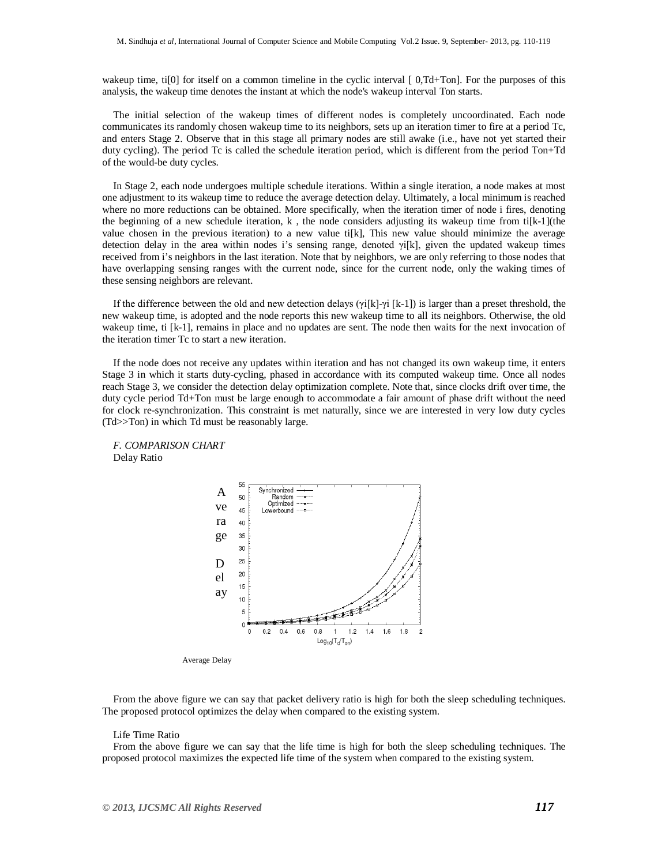wakeup time, ti<sup>[0]</sup> for itself on a common timeline in the cyclic interval [0,Td+Ton]. For the purposes of this analysis, the wakeup time denotes the instant at which the node's wakeup interval Ton starts.

The initial selection of the wakeup times of different nodes is completely uncoordinated. Each node communicates its randomly chosen wakeup time to its neighbors, sets up an iteration timer to fire at a period Tc, and enters Stage 2. Observe that in this stage all primary nodes are still awake (i.e., have not yet started their duty cycling). The period Tc is called the schedule iteration period, which is different from the period Ton+Td of the would-be duty cycles.

In Stage 2, each node undergoes multiple schedule iterations. Within a single iteration, a node makes at most one adjustment to its wakeup time to reduce the average detection delay. Ultimately, a local minimum is reached where no more reductions can be obtained. More specifically, when the iteration timer of node i fires, denoting the beginning of a new schedule iteration,  $k$ , the node considers adjusting its wakeup time from ti[k-1](the value chosen in the previous iteration) to a new value ti[k], This new value should minimize the average detection delay in the area within nodes i's sensing range, denoted γi[k], given the updated wakeup times received from i's neighbors in the last iteration. Note that by neighbors, we are only referring to those nodes that have overlapping sensing ranges with the current node, since for the current node, only the waking times of these sensing neighbors are relevant.

If the difference between the old and new detection delays ( $\gamma$ i[k]- $\gamma$ i[k-1]) is larger than a preset threshold, the new wakeup time, is adopted and the node reports this new wakeup time to all its neighbors. Otherwise, the old wakeup time, ti [k-1], remains in place and no updates are sent. The node then waits for the next invocation of the iteration timer Tc to start a new iteration.

If the node does not receive any updates within iteration and has not changed its own wakeup time, it enters Stage 3 in which it starts duty-cycling, phased in accordance with its computed wakeup time. Once all nodes reach Stage 3, we consider the detection delay optimization complete. Note that, since clocks drift over time, the duty cycle period Td+Ton must be large enough to accommodate a fair amount of phase drift without the need for clock re-synchronization. This constraint is met naturally, since we are interested in very low duty cycles (Td>>Ton) in which Td must be reasonably large.





Average Delay

From the above figure we can say that packet delivery ratio is high for both the sleep scheduling techniques. The proposed protocol optimizes the delay when compared to the existing system.

#### Life Time Ratio

From the above figure we can say that the life time is high for both the sleep scheduling techniques. The proposed protocol maximizes the expected life time of the system when compared to the existing system.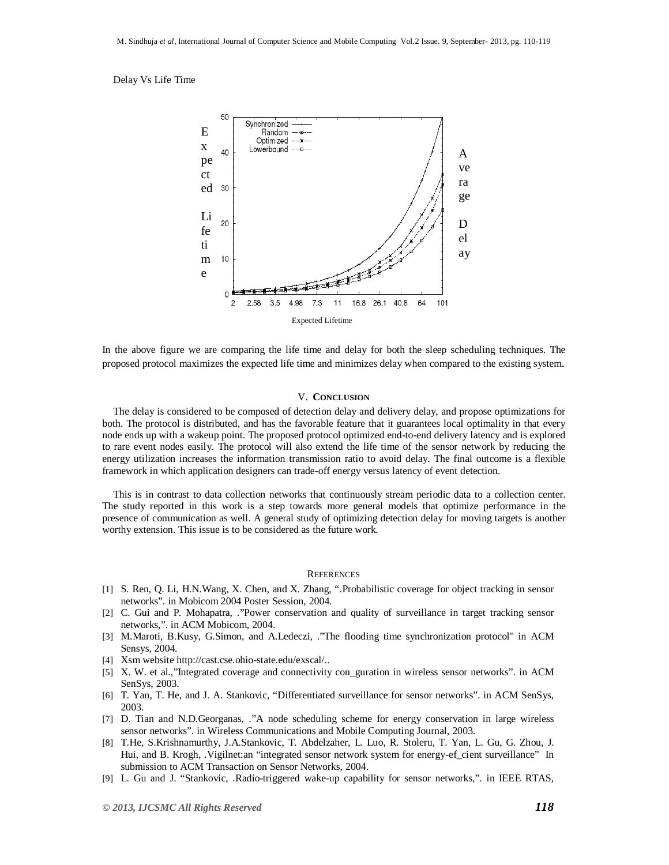#### Delay Vs Life Time



In the above figure we are comparing the life time and delay for both the sleep scheduling techniques. The proposed protocol maximizes the expected life time and minimizes delay when compared to the existing system.

## V. **CONCLUSION**

The delay is considered to be composed of detection delay and delivery delay, and propose optimizations for both. The protocol is distributed, and has the favorable feature that it guarantees local optimality in that every node ends up with a wakeup point. The proposed protocol optimized end-to-end delivery latency and is explored to rare event nodes easily. The protocol will also extend the life time of the sensor network by reducing the energy utilization increases the information transmission ratio to avoid delay. The final outcome is a flexible framework in which application designers can trade-off energy versus latency of event detection.

This is in contrast to data collection networks that continuously stream periodic data to a collection center. The study reported in this work is a step towards more general models that optimize performance in the presence of communication as well. A general study of optimizing detection delay for moving targets is another worthy extension. This issue is to be considered as the future work.

#### **REFERENCES**

- [1] S. Ren, Q. Li, H.N.Wang, X. Chen, and X. Zhang, ".Probabilistic coverage for object tracking in sensor networks". in Mobicom 2004 Poster Session, 2004.
- [2] C. Gui and P. Mohapatra, ."Power conservation and quality of surveillance in target tracking sensor networks,". in ACM Mobicom, 2004.
- [3] M.Maroti, B.Kusy, G.Simon, and A.Ledeczi, ."The flooding time synchronization protocol" in ACM Sensys, 2004.
- [4] Xsm website http://cast.cse.ohio-state.edu/exscal/..
- [5] X. W. et al.,"Integrated coverage and connectivity con\_guration in wireless sensor networks". in ACM SenSys, 2003.
- [6] T. Yan, T. He, and J. A. Stankovic, "Differentiated surveillance for sensor networks". in ACM SenSys, 2003.
- [7] D. Tian and N.D.Georganas, ."A node scheduling scheme for energy conservation in large wireless sensor networks". in Wireless Communications and Mobile Computing Journal, 2003.
- [8] T.He, S.Krishnamurthy, J.A.Stankovic, T. Abdelzaher, L. Luo, R. Stoleru, T. Yan, L. Gu, G. Zhou, J. Hui, and B. Krogh, .Vigilnet:an "integrated sensor network system for energy-ef\_cient surveillance" In submission to ACM Transaction on Sensor Networks, 2004.
- [9] L. Gu and J. "Stankovic, .Radio-triggered wake-up capability for sensor networks,". in IEEE RTAS,